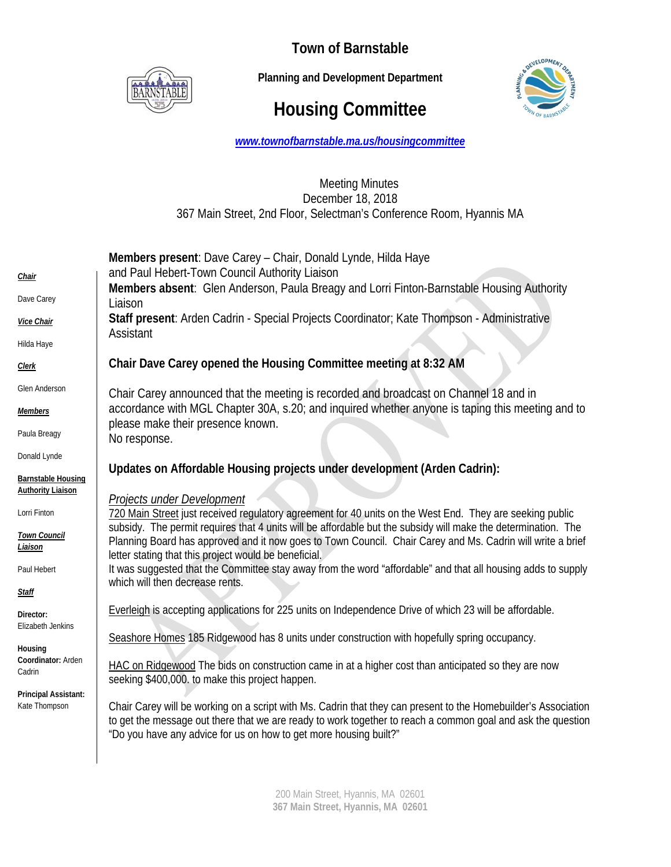

**Town of Barnstable** 

 **Planning and Development Department**

# **Housing Committee**



*www.townofbarnstable.ma.us/housingcommittee*

## Meeting Minutes December 18, 2018 367 Main Street, 2nd Floor, Selectman's Conference Room, Hyannis MA

| Members absent: Glen Anderson, Paula Breagy and Lorri Finton-Barnstable Housing Authority<br>accordance with MGL Chapter 30A, s.20; and inquired whether anyone is taping this meeting and to                                 |
|-------------------------------------------------------------------------------------------------------------------------------------------------------------------------------------------------------------------------------|
|                                                                                                                                                                                                                               |
|                                                                                                                                                                                                                               |
|                                                                                                                                                                                                                               |
|                                                                                                                                                                                                                               |
|                                                                                                                                                                                                                               |
|                                                                                                                                                                                                                               |
|                                                                                                                                                                                                                               |
|                                                                                                                                                                                                                               |
|                                                                                                                                                                                                                               |
|                                                                                                                                                                                                                               |
| 720 Main Street just received regulatory agreement for 40 units on the West End. They are seeking public                                                                                                                      |
| subsidy. The permit requires that 4 units will be affordable but the subsidy will make the determination. The                                                                                                                 |
| Planning Board has approved and it now goes to Town Council. Chair Carey and Ms. Cadrin will write a brief                                                                                                                    |
| It was suggested that the Committee stay away from the word "affordable" and that all housing adds to supply                                                                                                                  |
|                                                                                                                                                                                                                               |
|                                                                                                                                                                                                                               |
|                                                                                                                                                                                                                               |
|                                                                                                                                                                                                                               |
|                                                                                                                                                                                                                               |
| Chair Carey will be working on a script with Ms. Cadrin that they can present to the Homebuilder's Association<br>to get the message out there that we are ready to work together to reach a common goal and ask the question |
|                                                                                                                                                                                                                               |